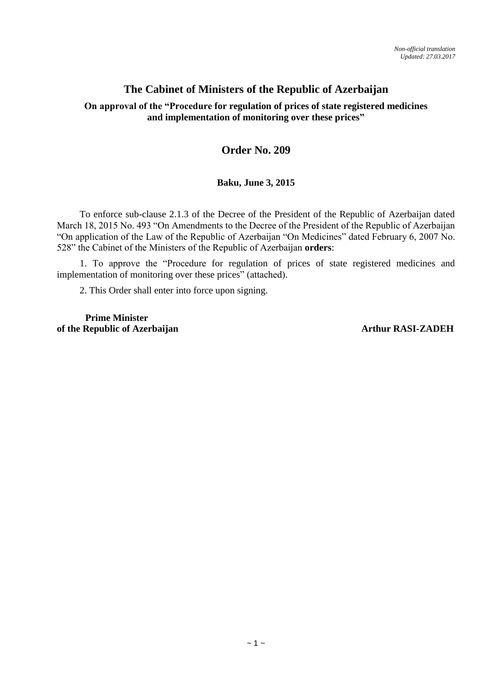# **The Cabinet of Ministers of the Republic of Azerbaijan**

# **On approval of the "Procedure for regulation of prices of state registered medicines and implementation of monitoring over these prices"**

# **Order No. 209**

# **Baku, June 3, 2015**

To enforce sub-clause 2.1.3 of the Decree of the President of the Republic of Azerbaijan dated March 18, 2015 No. 493 "On Amendments to the Decree of the President of the Republic of Azerbaijan "On application of the Law of the Republic of Azerbaijan "On Medicines" dated February 6, 2007 No. 528" the Cabinet of the Ministers of the Republic of Azerbaijan **orders**:

1. To approve the "Procedure for regulation of prices of state registered medicines and implementation of monitoring over these prices" (attached).

2. This Order shall enter into force upon signing.

 **Prime Minister** of the Republic of Azerbaijan **Arthur RASI-ZADEH**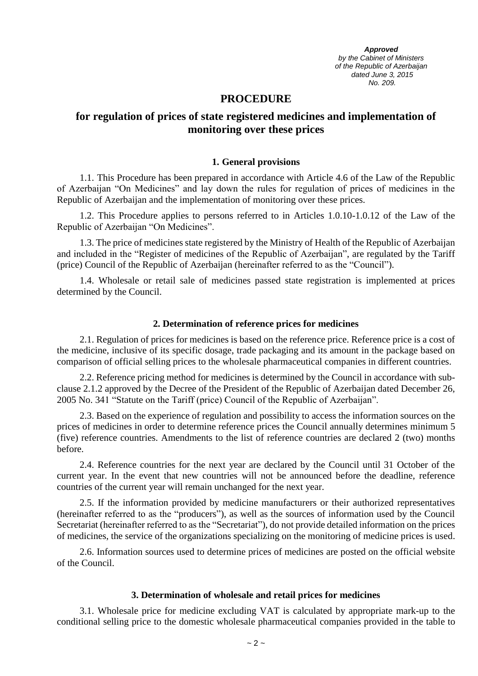*Approved by the Cabinet of Ministers of the Republic of Azerbaijan dated June 3, 2015 No. 209.*

## **PROCEDURE**

# **for regulation of prices of state registered medicines and implementation of monitoring over these prices**

#### **1. General provisions**

1.1. This Procedure has been prepared in accordance with Article 4.6 of the Law of the Republic of Azerbaijan "On Medicines" and lay down the rules for regulation of prices of medicines in the Republic of Azerbaijan and the implementation of monitoring over these prices.

1.2. This Procedure applies to persons referred to in Articles 1.0.10-1.0.12 of the Law of the Republic of Azerbaijan "On Medicines".

1.3. The price of medicines state registered by the Ministry of Health of the Republic of Azerbaijan and included in the "Register of medicines of the Republic of Azerbaijan", are regulated by the Tariff (price) Council of the Republic of Azerbaijan (hereinafter referred to as the "Council").

1.4. Wholesale or retail sale of medicines passed state registration is implemented at prices determined by the Council.

#### **2. Determination of reference prices for medicines**

2.1. Regulation of prices for medicines is based on the reference price. Reference price is a cost of the medicine, inclusive of its specific dosage, trade packaging and its amount in the package based on comparison of official selling prices to the wholesale pharmaceutical companies in different countries.

2.2. Reference pricing method for medicines is determined by the Council in accordance with subclause 2.1.2 approved by the Decree of the President of the Republic of Azerbaijan dated December 26, 2005 No. 341 "Statute on the Tariff (price) Council of the Republic of Azerbaijan".

2.3. Based on the experience of regulation and possibility to access the information sources on the prices of medicines in order to determine reference prices the Council annually determines minimum 5 (five) reference countries. Amendments to the list of reference countries are declared 2 (two) months before.

2.4. Reference countries for the next year are declared by the Council until 31 October of the current year. In the event that new countries will not be announced before the deadline, reference countries of the current year will remain unchanged for the next year.

2.5. If the information provided by medicine manufacturers or their authorized representatives (hereinafter referred to as the "producers"), as well as the sources of information used by the Council Secretariat (hereinafter referred to as the "Secretariat"), do not provide detailed information on the prices of medicines, the service of the organizations specializing on the monitoring of medicine prices is used.

2.6. Information sources used to determine prices of medicines are posted on the official website of the Council.

#### **3. Determination of wholesale and retail prices for medicines**

3.1. Wholesale price for medicine excluding VAT is calculated by appropriate mark-up to the conditional selling price to the domestic wholesale pharmaceutical companies provided in the table to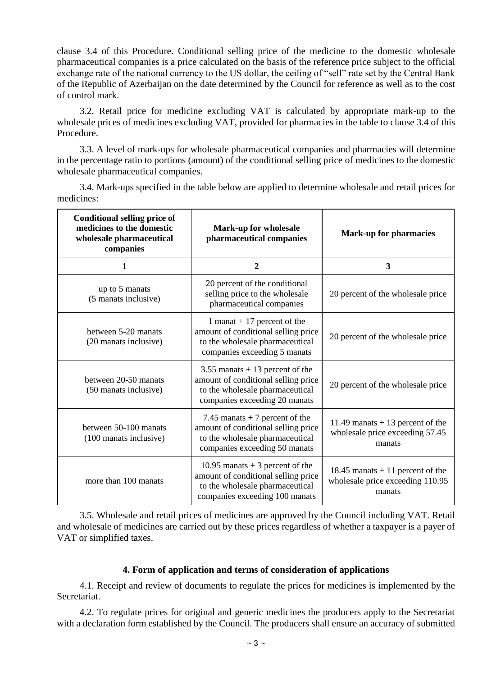clause 3.4 of this Procedure. Conditional selling price of the medicine to the domestic wholesale pharmaceutical companies is a price calculated on the basis of the reference price subject to the official exchange rate of the national currency to the US dollar, the ceiling of "sell" rate set by the Central Bank of the Republic of Azerbaijan on the date determined by the Council for reference as well as to the cost of control mark.

3.2. Retail price for medicine excluding VAT is calculated by appropriate mark-up to the wholesale prices of medicines excluding VAT, provided for pharmacies in the table to clause 3.4 of this Procedure.

3.3. A level of mark-ups for wholesale pharmaceutical companies and pharmacies will determine in the percentage ratio to portions (amount) of the conditional selling price of medicines to the domestic wholesale pharmaceutical companies.

3.4. Mark-ups specified in the table below are applied to determine wholesale and retail prices for medicines:

| <b>Conditional selling price of</b><br>medicines to the domestic<br>wholesale pharmaceutical<br>companies | <b>Mark-up for wholesale</b><br>pharmaceutical companies                                                                                     | <b>Mark-up for pharmacies</b>                                                   |
|-----------------------------------------------------------------------------------------------------------|----------------------------------------------------------------------------------------------------------------------------------------------|---------------------------------------------------------------------------------|
| 1                                                                                                         | $\boldsymbol{2}$                                                                                                                             | 3                                                                               |
| up to 5 manats<br>(5 manats inclusive)                                                                    | 20 percent of the conditional<br>selling price to the wholesale<br>pharmaceutical companies                                                  | 20 percent of the wholesale price                                               |
| between 5-20 manats<br>(20 manats inclusive)                                                              | 1 manat $+17$ percent of the<br>amount of conditional selling price<br>to the wholesale pharmaceutical<br>companies exceeding 5 manats       | 20 percent of the wholesale price                                               |
| between 20-50 manats<br>(50 manats inclusive)                                                             | 3.55 manats $+13$ percent of the<br>amount of conditional selling price<br>to the wholesale pharmaceutical<br>companies exceeding 20 manats  | 20 percent of the wholesale price                                               |
| between 50-100 manats<br>(100 manats inclusive)                                                           | 7.45 manats $+7$ percent of the<br>amount of conditional selling price<br>to the wholesale pharmaceutical<br>companies exceeding 50 manats   | 11.49 manats $+ 13$ percent of the<br>wholesale price exceeding 57.45<br>manats |
| more than 100 manats                                                                                      | 10.95 manats $+3$ percent of the<br>amount of conditional selling price<br>to the wholesale pharmaceutical<br>companies exceeding 100 manats | 18.45 manats $+11$ percent of the<br>wholesale price exceeding 110.95<br>manats |

3.5. Wholesale and retail prices of medicines are approved by the Council including VAT. Retail and wholesale of medicines are carried out by these prices regardless of whether a taxpayer is a payer of VAT or simplified taxes.

## **4. Form of application and terms of consideration of applications**

4.1. Receipt and review of documents to regulate the prices for medicines is implemented by the Secretariat.

4.2. To regulate prices for original and generic medicines the producers apply to the Secretariat with a declaration form established by the Council. The producers shall ensure an accuracy of submitted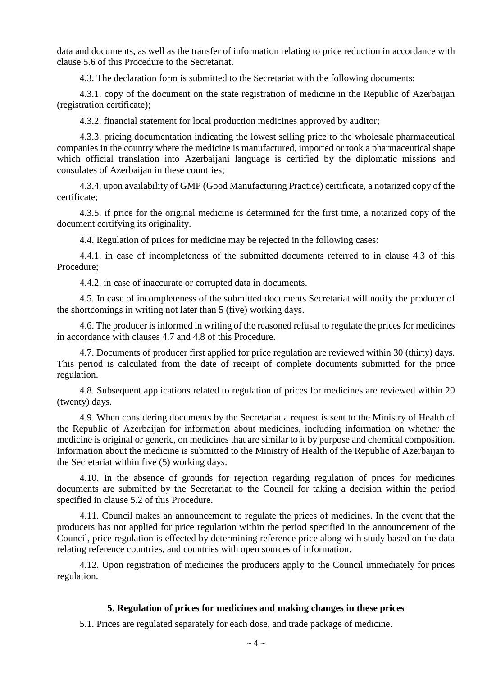data and documents, as well as the transfer of information relating to price reduction in accordance with clause 5.6 of this Procedure to the Secretariat.

4.3. The declaration form is submitted to the Secretariat with the following documents:

4.3.1. copy of the document on the state registration of medicine in the Republic of Azerbaijan (registration certificate);

4.3.2. financial statement for local production medicines approved by auditor;

4.3.3. pricing documentation indicating the lowest selling price to the wholesale pharmaceutical companies in the country where the medicine is manufactured, imported or took a pharmaceutical shape which official translation into Azerbaijani language is certified by the diplomatic missions and consulates of Azerbaijan in these countries;

4.3.4. upon availability of GMP (Good Manufacturing Practice) certificate, a notarized copy of the certificate;

4.3.5. if price for the original medicine is determined for the first time, a notarized copy of the document certifying its originality.

4.4. Regulation of prices for medicine may be rejected in the following cases:

4.4.1. in case of incompleteness of the submitted documents referred to in clause 4.3 of this Procedure;

4.4.2. in case of inaccurate or corrupted data in documents.

4.5. In case of incompleteness of the submitted documents Secretariat will notify the producer of the shortcomings in writing not later than 5 (five) working days.

4.6. The producer is informed in writing of the reasoned refusal to regulate the prices for medicines in accordance with clauses 4.7 and 4.8 of this Procedure.

4.7. Documents of producer first applied for price regulation are reviewed within 30 (thirty) days. This period is calculated from the date of receipt of complete documents submitted for the price regulation.

4.8. Subsequent applications related to regulation of prices for medicines are reviewed within 20 (twenty) days.

4.9. When considering documents by the Secretariat a request is sent to the Ministry of Health of the Republic of Azerbaijan for information about medicines, including information on whether the medicine is original or generic, on medicines that are similar to it by purpose and chemical composition. Information about the medicine is submitted to the Ministry of Health of the Republic of Azerbaijan to the Secretariat within five (5) working days.

4.10. In the absence of grounds for rejection regarding regulation of prices for medicines documents are submitted by the Secretariat to the Council for taking a decision within the period specified in clause 5.2 of this Procedure.

4.11. Council makes an announcement to regulate the prices of medicines. In the event that the producers has not applied for price regulation within the period specified in the announcement of the Council, price regulation is effected by determining reference price along with study based on the data relating reference countries, and countries with open sources of information.

4.12. Upon registration of medicines the producers apply to the Council immediately for prices regulation.

## **5. Regulation of prices for medicines and making changes in these prices**

5.1. Prices are regulated separately for each dose, and trade package of medicine.